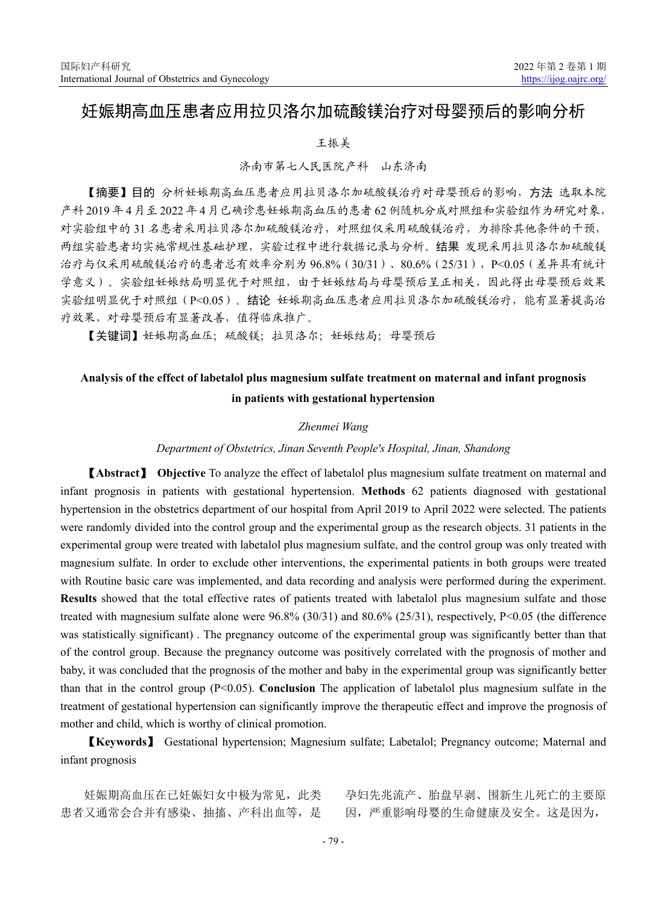# 妊娠期高血压患者应用拉贝洛尔加硫酸镁治疗对母婴预后的影响分析

## 王振美

# 济南市第七人民医院产科 山东济南

【摘要】目的 分析妊娠期高血压患者应用拉贝洛尔加硫酸镁治疗对母婴预后的影响,方法 选取本院 产科 2019 年 4 月至 2022 年 4 月已确诊患妊娠期高血压的患者 62 例随机分成对照组和实验组作为研究对象, 对实验组中的 31 名患者采用拉贝洛尔加硫酸镁治疗,对照组仅采用硫酸镁治疗,为排除其他条件的干预, 两组实验患者均实施常规性基础护理,实验过程中进行数据记录与分析。结果 发现采用拉贝洛尔加硫酸镁 治疗与仅采用硫酸镁治疗的患者总有效率分别为 96.8%(30/31)、80.6%(25/31),P<0.05(差异具有统计 学意义)。实验组妊娠结局明显优于对照组,由于妊娠结局与母婴预后呈正相关,因此得出母婴预后效果 实验组明显优于对照组(P<0.05)。结论 妊娠期高血压患者应用拉贝洛尔加硫酸镁治疗,能有显著提高治 疗效果,对母婴预后有显著改善,值得临床推广。

【关键词】妊娠期高血压;硫酸镁;拉贝洛尔;妊娠结局;母婴预后

# **Analysis of the effect of labetalol plus magnesium sulfate treatment on maternal and infant prognosis in patients with gestational hypertension**

#### *Zhenmei Wang*

#### *Department of Obstetrics, Jinan Seventh People's Hospital, Jinan, Shandong*

【**Abstract**】 **Objective** To analyze the effect of labetalol plus magnesium sulfate treatment on maternal and infant prognosis in patients with gestational hypertension. **Methods** 62 patients diagnosed with gestational hypertension in the obstetrics department of our hospital from April 2019 to April 2022 were selected. The patients were randomly divided into the control group and the experimental group as the research objects. 31 patients in the experimental group were treated with labetalol plus magnesium sulfate, and the control group was only treated with magnesium sulfate. In order to exclude other interventions, the experimental patients in both groups were treated with Routine basic care was implemented, and data recording and analysis were performed during the experiment. **Results** showed that the total effective rates of patients treated with labetalol plus magnesium sulfate and those treated with magnesium sulfate alone were 96.8% (30/31) and 80.6% (25/31), respectively, P<0.05 (the difference was statistically significant) . The pregnancy outcome of the experimental group was significantly better than that of the control group. Because the pregnancy outcome was positively correlated with the prognosis of mother and baby, it was concluded that the prognosis of the mother and baby in the experimental group was significantly better than that in the control group (P<0.05). **Conclusion** The application of labetalol plus magnesium sulfate in the treatment of gestational hypertension can significantly improve the therapeutic effect and improve the prognosis of mother and child, which is worthy of clinical promotion.

【**Keywords**】 Gestational hypertension; Magnesium sulfate; Labetalol; Pregnancy outcome; Maternal and infant prognosis

妊娠期高血压在已妊娠妇女中极为常见,此类 患者又通常会合并有感染、抽搐、产科出血等,是 孕妇先兆流产、胎盘早剥、围新生儿死亡的主要原 因,严重影响母婴的生命健康及安全。这是因为,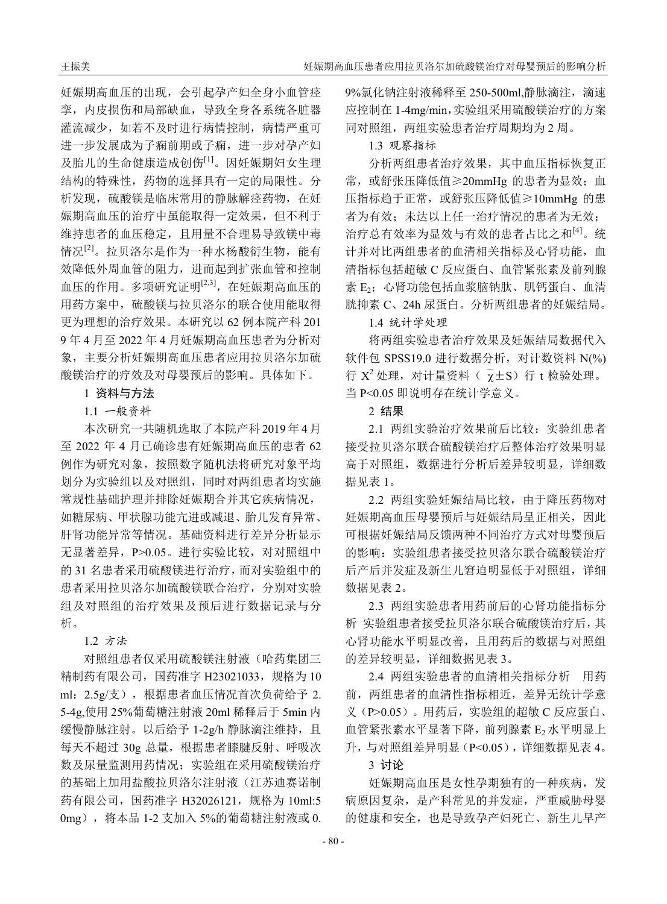妊娠期高血压的出现,会引起孕产妇全身小血管痉 挛,内皮损伤和局部缺血,导致全身各系统各脏器 灌流减少,如若不及时进行病情控制,病情严重可 进一步发展成为子痫前期或子痫,进一步对孕产妇 及胎儿的生命健康造成创伤[1]。因妊娠期妇女生理 结构的特殊性,药物的选择具有一定的局限性。分 析发现,硫酸镁是临床常用的静脉解痉药物,在妊 娠期高血压的治疗中虽能取得一定效果,但不利于 维持患者的血压稳定,且用量不合理易导致镁中毒 情况[2]。拉贝洛尔是作为一种水杨酸衍生物,能有 效降低外周血管的阻力,进而起到扩张血管和控制 血压的作用。多项研究证明[2,3],在妊娠期高血压的 用药方案中,硫酸镁与拉贝洛尔的联合使用能取得 更为理想的治疗效果。本研究以 62 例本院产科 201 9 年 4 月至 2022 年 4 月妊娠期高血压患者为分析对 象,主要分析妊娠期高血压患者应用拉贝洛尔加硫 酸镁治疗的疗效及对母婴预后的影响。具体如下。

# 1 资料与方法

1.1 一般资料

本次研究一共随机选取了本院产科 2019 年 4 月 至 2022 年 4 月已确诊患有妊娠期高血压的患者 62 例作为研究对象,按照数字随机法将研究对象平均 划分为实验组以及对照组,同时对两组患者均实施 常规性基础护理并排除妊娠期合并其它疾病情况, 如糖尿病、甲状腺功能亢进或减退、胎儿发育异常、 肝肾功能异常等情况。基础资料进行差异分析显示 无显著差异,P>0.05。进行实验比较,对对照组中 的 31 名患者采用硫酸镁进行治疗,而对实验组中的 患者采用拉贝洛尔加硫酸镁联合治疗,分别对实验 组及对照组的治疗效果及预后进行数据记录与分 析。

1.2 方法

对照组患者仅采用硫酸镁注射液(哈药集团三 精制药有限公司,国药准字 H23021033,规格为 10 ml:2.5g/支),根据患者血压情况首次负荷给予 2. 5-4g,使用 25%葡萄糖注射液 20ml 稀释后于 5min 内 缓慢静脉注射。以后给予 1-2g/h 静脉滴注维持,且 每天不超过 30g 总量,根据患者膝腱反射、呼吸次 数及尿量监测用药情况;实验组在采用硫酸镁治疗 的基础上加用盐酸拉贝洛尔注射液(江苏迪赛诺制 药有限公司, 国药准字 H32026121, 规格为 10ml:5 0mg),将本品 1-2 支加入 5%的葡萄糖注射液或 0. 9%氯化钠注射液稀释至 250-500ml,静脉滴注,滴速 应控制在 1-4mg/min,实验组采用硫酸镁治疗的方案 同对照组,两组实验患者治疗周期均为 2 周。

## 1.3 观察指标

分析两组患者治疗效果,其中血压指标恢复正 常, 或舒张压降低值≥20mmHg 的患者为显效; 血 压指标趋于正常,或舒张压降低值≥10mmHg 的患 者为有效;未达以上任一治疗情况的患者为无效; 治疗总有效率为显效与有效的患者占比之和[4]。统 计并对比两组患者的血清相关指标及心肾功能,血 清指标包括超敏 C 反应蛋白、血管紧张素及前列腺 素 E2: 心肾功能包括血浆脑钠肽、肌钙蛋白、血清 胱抑素 C、24h 尿蛋白。分析两组患者的妊娠结局。

## 1.4 统计学处理

将两组实验患者治疗效果及妊娠结局数据代入 软件包 SPSS19.0 进行数据分析, 对计数资料 N(%) 行  $X^2$ 处理, 对计量资料( $\overline{y}$ ±S)行 t 检验处理。 当 P<0.05 即说明存在统计学意义。

#### 2 结果

2.1 两组实验治疗效果前后比较:实验组患者 接受拉贝洛尔联合硫酸镁治疗后整体治疗效果明显 高于对照组,数据进行分析后差异较明显,详细数 据见表 1。

2.2 两组实验妊娠结局比较,由于降压药物对 妊娠期高血压母婴预后与妊娠结局呈正相关,因此 可根据妊娠结局反馈两种不同治疗方式对母婴预后 的影响:实验组患者接受拉贝洛尔联合硫酸镁治疗 后产后并发症及新生儿窘迫明显低于对照组,详细 数据见表 2。

2.3 两组实验患者用药前后的心肾功能指标分 析 实验组患者接受拉贝洛尔联合硫酸镁治疗后,其 心肾功能水平明显改善,且用药后的数据与对照组 的差异较明显,详细数据见表 3。

2.4 两组实验患者的血清相关指标分析 用药 前,两组患者的血清性指标相近,差异无统计学意 义(P>0.05)。用药后,实验组的超敏 C 反应蛋白、 血管紧张素水平显著下降, 前列腺素 E<sub>2</sub> 水平明显上 升,与对照组差异明显(P<0.05),详细数据见表 4。

### 3 讨论

妊娠期高血压是女性孕期独有的一种疾病,发 病原因复杂,是产科常见的并发症,严重威胁母婴 的健康和安全,也是导致孕产妇死亡、新生儿早产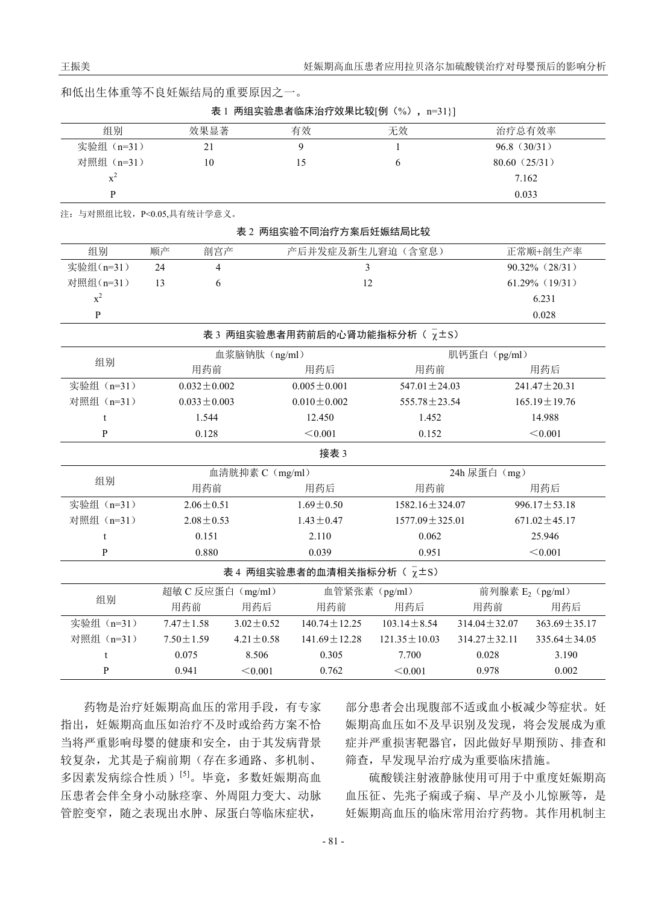|  |  |  |  |  |  |  | 和低出生体重等不良妊娠结局的重要原因之 |  |
|--|--|--|--|--|--|--|---------------------|--|
|--|--|--|--|--|--|--|---------------------|--|

表 1 两组实验患者临床治疗效果比较[例(%), n=31}]

| 组别                        | 效果显著 | 有效 | 无效 | 治疗总有效率       |
|---------------------------|------|----|----|--------------|
| 实验组 (n=31)                | 21   |    |    | 96.8(30/31)  |
| 对照组 (n=31)                | 10   |    |    | 80.60(25/31) |
| $\mathbf{x}^{\texttt{-}}$ |      |    |    | 7.162        |
|                           |      |    |    | 0.033        |

注:与对照组比较,P<0.05,具有统计学意义。

| 表 2 两组实验不同治疗方案后妊娠结局比较                      |                   |                          |                 |                                         |                      |                    |                    |  |  |
|--------------------------------------------|-------------------|--------------------------|-----------------|-----------------------------------------|----------------------|--------------------|--------------------|--|--|
| 组别                                         | 顺产                | 剖宫产                      |                 | 产后并发症及新生儿窘迫(含窒息)                        |                      |                    | 正常顺+剖生产率           |  |  |
| 实验组(n=31)                                  | 24                | $\overline{\mathcal{L}}$ |                 | 3                                       |                      |                    | 90.32% (28/31)     |  |  |
| 对照组(n=31)                                  | 13                | 6                        |                 | 12                                      |                      |                    | $61.29\%$ (19/31)  |  |  |
| $x^2$                                      |                   |                          |                 |                                         |                      |                    | 6.231              |  |  |
| $\mathbf{P}$                               |                   |                          |                 |                                         |                      |                    | 0.028              |  |  |
| 表 3 两组实验患者用药前后的心肾功能指标分析 ( $\bar{\chi}$ ±S) |                   |                          |                 |                                         |                      |                    |                    |  |  |
| 组别                                         | 血浆脑钠肽 (ng/ml)     |                          |                 |                                         |                      | 肌钙蛋白 (pg/ml)       |                    |  |  |
|                                            | 用药前               |                          | 用药后             | 用药前                                     |                      | 用药后                |                    |  |  |
| 实验组 (n=31)                                 | $0.032 \pm 0.002$ |                          |                 | $0.005 \pm 0.001$                       | 547.01 $\pm$ 24.03   |                    | 241.47 $\pm$ 20.31 |  |  |
| 对照组 (n=31)                                 |                   | $0.033 \pm 0.003$        |                 | $0.010 \pm 0.002$<br>555.78 $\pm$ 23.54 |                      |                    | $165.19 \pm 19.76$ |  |  |
| t                                          |                   |                          | 1.544<br>12.450 |                                         | 1.452                |                    | 14.988             |  |  |
| $\mathbf{P}$                               |                   | 0.128                    |                 | < 0.001                                 | 0.152                |                    | < 0.001            |  |  |
| 接表 3                                       |                   |                          |                 |                                         |                      |                    |                    |  |  |
| 组别                                         | 血清胱抑素 C (mg/ml)   |                          |                 |                                         | 24h 尿蛋白 (mg)         |                    |                    |  |  |
|                                            | 用药前               |                          | 用药后             | 用药前                                     |                      | 用药后                |                    |  |  |
| 实验组 (n=31)                                 |                   | $2.06 \pm 0.51$          |                 | $1.69 + 0.50$                           | $1582.16 \pm 324.07$ |                    | $996.17 \pm 53.18$ |  |  |
| 对照组 (n=31)                                 | $2.08 \pm 0.53$   |                          |                 | $1.43 \pm 0.47$                         | $1577.09 \pm 325.01$ |                    | $671.02 \pm 45.17$ |  |  |
| t                                          |                   | 0.151                    |                 | 2.110                                   | 0.062                |                    | 25.946             |  |  |
| P                                          |                   | 0.880                    |                 | 0.039                                   | 0.951                |                    | < 0.001            |  |  |
| 表 4 两组实验患者的血清相关指标分析 ( $\bar{\chi}$ ± s)    |                   |                          |                 |                                         |                      |                    |                    |  |  |
| 组别                                         |                   | 超敏 C 反应蛋白 (mg/ml)        |                 | 血管紧张素 (pg/ml)                           |                      | 前列腺素 $E_2$ (pg/ml) |                    |  |  |
|                                            |                   | 用药前                      | 用药后             | 用药前                                     | 用药后                  | 用药前                | 用药后                |  |  |
| 实验组 (n=31)                                 |                   | $7.47 \pm 1.58$          | $3.02 \pm 0.52$ | $140.74 \pm 12.25$                      | $103.14 \pm 8.54$    | $314.04 \pm 32.07$ | $363.69 \pm 35.17$ |  |  |
| 对照组 (n=31)                                 |                   | $7.50 \pm 1.59$          | $4.21 \pm 0.58$ | $141.69 \pm 12.28$                      | $121.35 \pm 10.03$   | $314.27 \pm 32.11$ | $335.64 \pm 34.05$ |  |  |
| t                                          |                   | 0.075                    | 8.506           | 0.305                                   | 7.700                | 0.028              | 3.190              |  |  |
| $\mathbf{P}$                               |                   | 0.941                    | < 0.001         | 0.762                                   | < 0.001              | 0.978              | 0.002              |  |  |

药物是治疗妊娠期高血压的常用手段,有专家 指出,妊娠期高血压如治疗不及时或给药方案不恰 当将严重影响母婴的健康和安全,由于其发病背景 较复杂,尤其是子痫前期(存在多通路、多机制、 多因素发病综合性质)[5]。毕竟,多数妊娠期高血 压患者会伴全身小动脉痉挛、外周阻力变大、动脉 管腔变窄,随之表现出水肿、尿蛋白等临床症状,

部分患者会出现腹部不适或血小板减少等症状。妊 娠期高血压如不及早识别及发现,将会发展成为重 症并严重损害靶器官,因此做好早期预防、排查和 筛查,早发现早治疗成为重要临床措施。

硫酸镁注射液静脉使用可用于中重度妊娠期高 血压征、先兆子痫或子痫、早产及小儿惊厥等,是 妊娠期高血压的临床常用治疗药物。其作用机制主